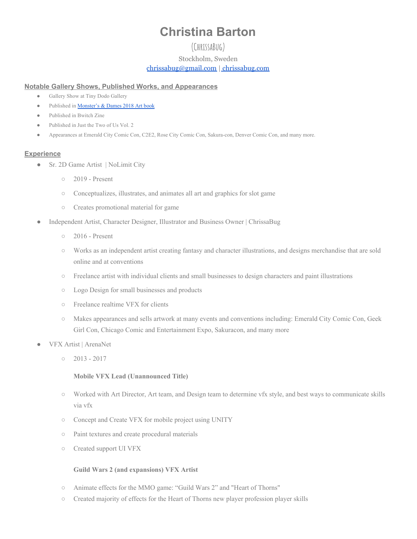# **Christina Barton**

## **(ChrissaBug)** Stockholm, Sweden [chrissabug@gmail.com](mailto:chrissabug@gmail.com) | [chrissabug.com](https://www.chrissabug.com/)

#### **Notable Gallery Shows, Published Works, and Appearances**

- Gallery Show at Tiny Dodo Gallery
- Published in [Monster's](https://www.emeraldcitycomiccon.com/About/Monsters-And-Dames/) & Dames 2018 Art book
- Published in Bwitch Zine
- Published in Just the Two of Us Vol. 2
- Appearances at Emerald City Comic Con, C2E2, Rose City Comic Con, Sakura-con, Denver Comic Con, and many more.

### **Experience**

- Sr. 2D Game Artist | NoLimit City
	- 2019 Present
	- Conceptualizes, illustrates, and animates all art and graphics for slot game
	- Creates promotional material for game
- Independent Artist, Character Designer, Illustrator and Business Owner | ChrissaBug
	- 2016 Present
	- Works as an independent artist creating fantasy and character illustrations, and designs merchandise that are sold online and at conventions
	- Freelance artist with individual clients and small businesses to design characters and paint illustrations
	- Logo Design for small businesses and products
	- Freelance realtime VFX for clients
	- Makes appearances and sells artwork at many events and conventions including: Emerald City Comic Con, Geek Girl Con, Chicago Comic and Entertainment Expo, Sakuracon, and many more
- VFX Artist | ArenaNet
	- $0$  2013 2017

#### **Mobile VFX Lead (Unannounced Title)**

- Worked with Art Director, Art team, and Design team to determine vfx style, and best ways to communicate skills via vfx
- Concept and Create VFX for mobile project using UNITY
- Paint textures and create procedural materials
- Created support UI VFX

#### **Guild Wars 2 (and expansions) VFX Artist**

- Animate effects for the MMO game: "Guild Wars 2" and "Heart of Thorns"
- Created majority of effects for the Heart of Thorns new player profession player skills